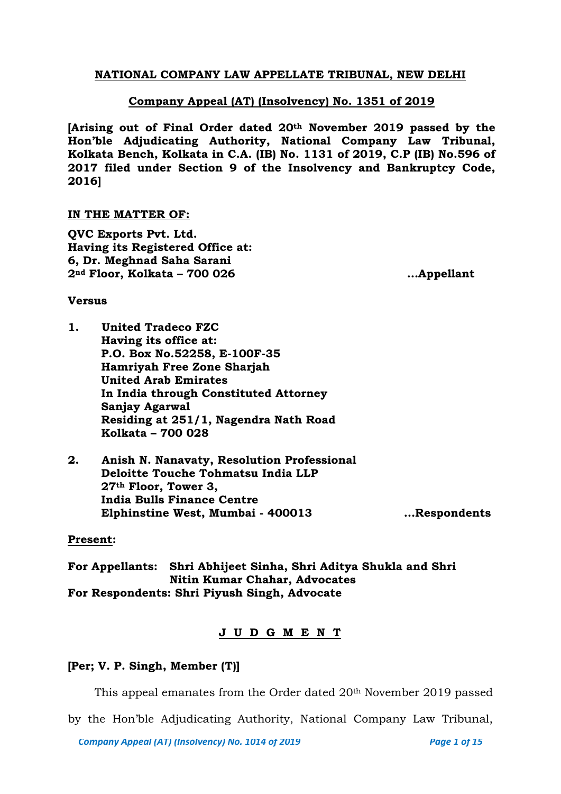## **NATIONAL COMPANY LAW APPELLATE TRIBUNAL, NEW DELHI**

## **Company Appeal (AT) (Insolvency) No. 1351 of 2019**

**[Arising out of Final Order dated 20th November 2019 passed by the Hon'ble Adjudicating Authority, National Company Law Tribunal, Kolkata Bench, Kolkata in C.A. (IB) No. 1131 of 2019, C.P (IB) No.596 of 2017 filed under Section 9 of the Insolvency and Bankruptcy Code, 2016]**

### **IN THE MATTER OF:**

**QVC Exports Pvt. Ltd. Having its Registered Office at: 6, Dr. Meghnad Saha Sarani 2nd Floor, Kolkata – 700 026 …Appellant**

#### **Versus**

- **1. United Tradeco FZC Having its office at: P.O. Box No.52258, E-100F-35 Hamriyah Free Zone Sharjah United Arab Emirates In India through Constituted Attorney Sanjay Agarwal Residing at 251/1, Nagendra Nath Road Kolkata – 700 028**
- **2. Anish N. Nanavaty, Resolution Professional Deloitte Touche Tohmatsu India LLP 27th Floor, Tower 3, India Bulls Finance Centre Elphinstine West, Mumbai - 400013 …Respondents**

### **Present:**

**For Appellants: Shri Abhijeet Sinha, Shri Aditya Shukla and Shri Nitin Kumar Chahar, Advocates For Respondents: Shri Piyush Singh, Advocate**

## **J U D G M E N T**

### **[Per; V. P. Singh, Member (T)]**

This appeal emanates from the Order dated 20th November 2019 passed

by the Hon'ble Adjudicating Authority, National Company Law Tribunal,

*Company Appeal (AT) (Insolvency) No. 1014 of 2019* Page 1 of 15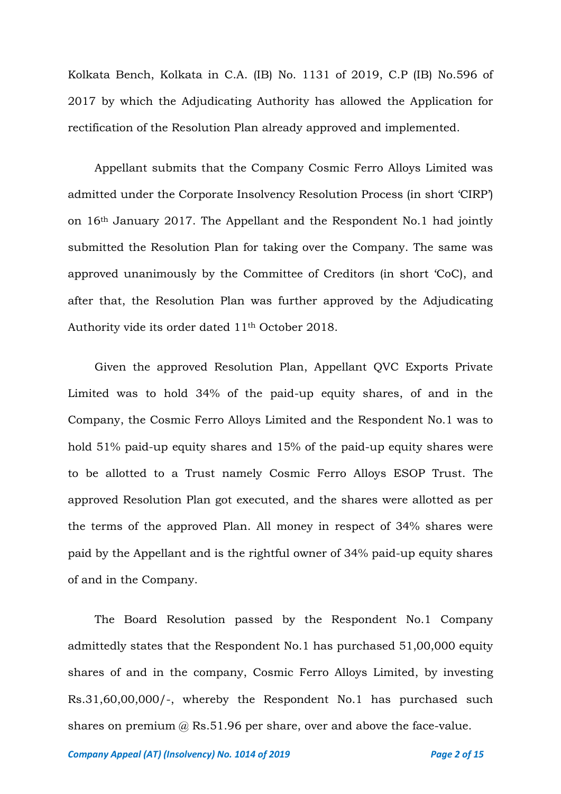Kolkata Bench, Kolkata in C.A. (IB) No. 1131 of 2019, C.P (IB) No.596 of 2017 by which the Adjudicating Authority has allowed the Application for rectification of the Resolution Plan already approved and implemented.

Appellant submits that the Company Cosmic Ferro Alloys Limited was admitted under the Corporate Insolvency Resolution Process (in short 'CIRP') on 16th January 2017. The Appellant and the Respondent No.1 had jointly submitted the Resolution Plan for taking over the Company. The same was approved unanimously by the Committee of Creditors (in short 'CoC), and after that, the Resolution Plan was further approved by the Adjudicating Authority vide its order dated 11th October 2018.

Given the approved Resolution Plan, Appellant QVC Exports Private Limited was to hold 34% of the paid-up equity shares, of and in the Company, the Cosmic Ferro Alloys Limited and the Respondent No.1 was to hold 51% paid-up equity shares and 15% of the paid-up equity shares were to be allotted to a Trust namely Cosmic Ferro Alloys ESOP Trust. The approved Resolution Plan got executed, and the shares were allotted as per the terms of the approved Plan. All money in respect of 34% shares were paid by the Appellant and is the rightful owner of 34% paid-up equity shares of and in the Company.

The Board Resolution passed by the Respondent No.1 Company admittedly states that the Respondent No.1 has purchased 51,00,000 equity shares of and in the company, Cosmic Ferro Alloys Limited, by investing Rs.31,60,00,000/-, whereby the Respondent No.1 has purchased such shares on premium @ Rs.51.96 per share, over and above the face-value.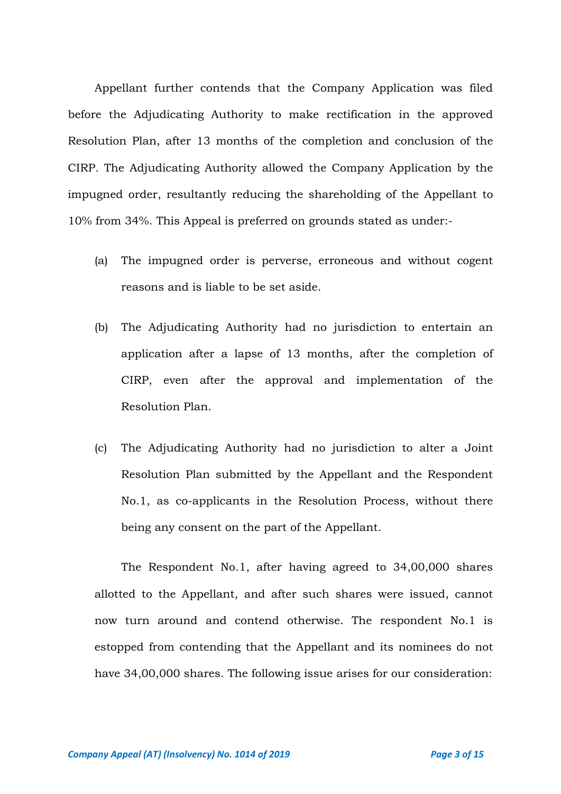Appellant further contends that the Company Application was filed before the Adjudicating Authority to make rectification in the approved Resolution Plan, after 13 months of the completion and conclusion of the CIRP. The Adjudicating Authority allowed the Company Application by the impugned order, resultantly reducing the shareholding of the Appellant to 10% from 34%. This Appeal is preferred on grounds stated as under:-

- (a) The impugned order is perverse, erroneous and without cogent reasons and is liable to be set aside.
- (b) The Adjudicating Authority had no jurisdiction to entertain an application after a lapse of 13 months, after the completion of CIRP, even after the approval and implementation of the Resolution Plan.
- (c) The Adjudicating Authority had no jurisdiction to alter a Joint Resolution Plan submitted by the Appellant and the Respondent No.1, as co-applicants in the Resolution Process, without there being any consent on the part of the Appellant.

The Respondent No.1, after having agreed to 34,00,000 shares allotted to the Appellant, and after such shares were issued, cannot now turn around and contend otherwise. The respondent No.1 is estopped from contending that the Appellant and its nominees do not have 34,00,000 shares. The following issue arises for our consideration: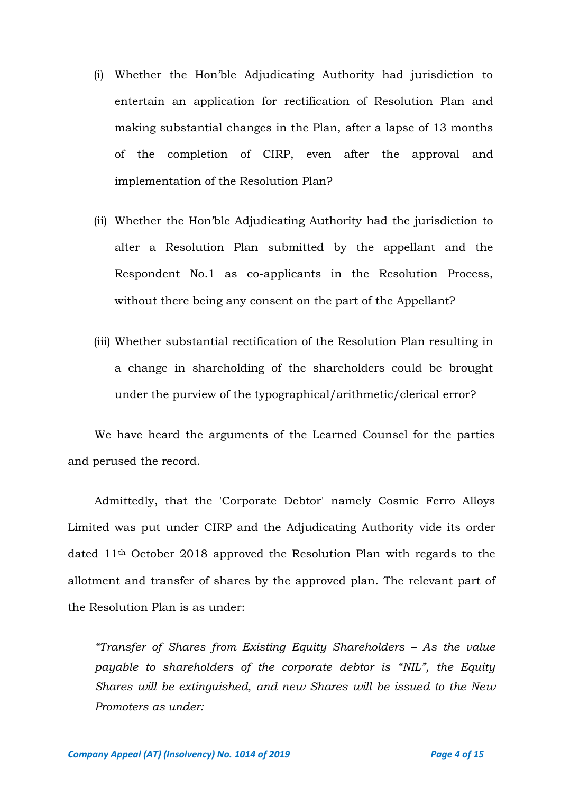- (i) Whether the Hon'ble Adjudicating Authority had jurisdiction to entertain an application for rectification of Resolution Plan and making substantial changes in the Plan, after a lapse of 13 months of the completion of CIRP, even after the approval and implementation of the Resolution Plan?
- (ii) Whether the Hon'ble Adjudicating Authority had the jurisdiction to alter a Resolution Plan submitted by the appellant and the Respondent No.1 as co-applicants in the Resolution Process, without there being any consent on the part of the Appellant?
- (iii) Whether substantial rectification of the Resolution Plan resulting in a change in shareholding of the shareholders could be brought under the purview of the typographical/arithmetic/clerical error?

We have heard the arguments of the Learned Counsel for the parties and perused the record.

Admittedly, that the 'Corporate Debtor' namely Cosmic Ferro Alloys Limited was put under CIRP and the Adjudicating Authority vide its order dated 11th October 2018 approved the Resolution Plan with regards to the allotment and transfer of shares by the approved plan. The relevant part of the Resolution Plan is as under:

*"Transfer of Shares from Existing Equity Shareholders – As the value payable to shareholders of the corporate debtor is "NIL", the Equity Shares will be extinguished, and new Shares will be issued to the New Promoters as under:*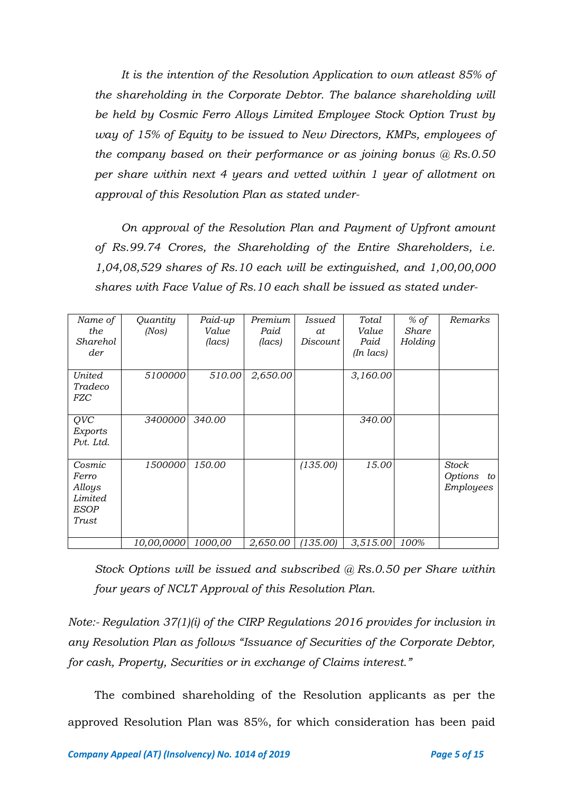*It is the intention of the Resolution Application to own atleast 85% of the shareholding in the Corporate Debtor. The balance shareholding will be held by Cosmic Ferro Alloys Limited Employee Stock Option Trust by way of 15% of Equity to be issued to New Directors, KMPs, employees of the company based on their performance or as joining bonus @ Rs.0.50 per share within next 4 years and vetted within 1 year of allotment on approval of this Resolution Plan as stated under-*

*On approval of the Resolution Plan and Payment of Upfront amount of Rs.99.74 Crores, the Shareholding of the Entire Shareholders, i.e. 1,04,08,529 shares of Rs.10 each will be extinguished, and 1,00,00,000 shares with Face Value of Rs.10 each shall be issued as stated under-*

| Name of<br>the<br>Sharehol<br>der                            | Quantity<br>(Nos) | Paid-up<br>Value<br>(lacs) | Premium<br>Paid<br>(lacs) | Issued<br>at<br>Discount | Total<br>Value<br>Paid<br>$(In$ $lacs)$ | $%$ of<br>Share<br>Holding | Remarks                             |
|--------------------------------------------------------------|-------------------|----------------------------|---------------------------|--------------------------|-----------------------------------------|----------------------------|-------------------------------------|
| <b>United</b><br>Tradeco<br><i>FZC</i>                       | 5100000           | 510.00                     | 2,650.00                  |                          | 3,160.00                                |                            |                                     |
| QVC<br>Exports<br>Pvt. Ltd.                                  | 3400000           | 340.00                     |                           |                          | 340.00                                  |                            |                                     |
| Cosmic<br>Ferro<br>Alloys<br>Limited<br><b>ESOP</b><br>Trust | 1500000           | 150.00                     |                           | (135.00)                 | 15.00                                   |                            | Stock<br>Options<br>to<br>Employees |
|                                                              | 10,00,0000        | 1000,00                    | 2,650.00                  | (135.00)                 | 3,515.00                                | 100%                       |                                     |

*Stock Options will be issued and subscribed @ Rs.0.50 per Share within four years of NCLT Approval of this Resolution Plan.*

*Note:- Regulation 37(1)(i) of the CIRP Regulations 2016 provides for inclusion in any Resolution Plan as follows "Issuance of Securities of the Corporate Debtor, for cash, Property, Securities or in exchange of Claims interest."*

The combined shareholding of the Resolution applicants as per the approved Resolution Plan was 85%, for which consideration has been paid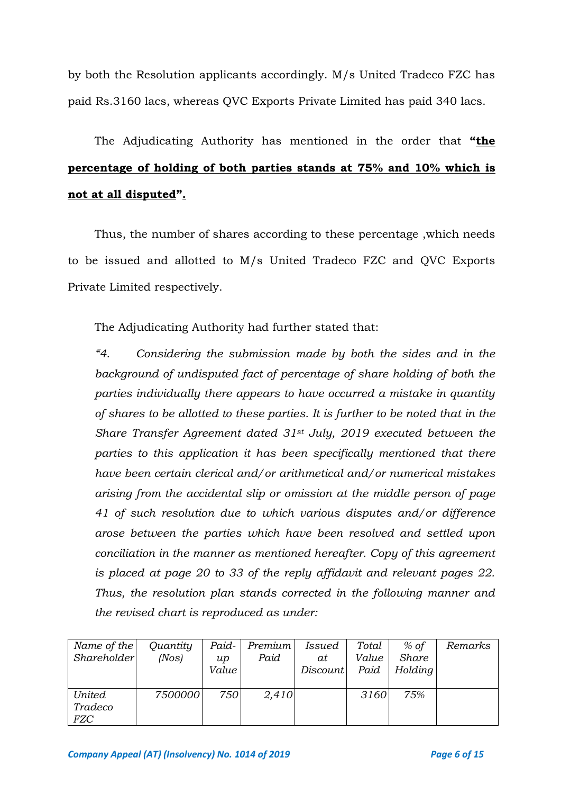by both the Resolution applicants accordingly. M/s United Tradeco FZC has paid Rs.3160 lacs, whereas QVC Exports Private Limited has paid 340 lacs.

The Adjudicating Authority has mentioned in the order that **"the percentage of holding of both parties stands at 75% and 10% which is not at all disputed".**

Thus, the number of shares according to these percentage ,which needs to be issued and allotted to M/s United Tradeco FZC and QVC Exports Private Limited respectively.

The Adjudicating Authority had further stated that:

*"4. Considering the submission made by both the sides and in the background of undisputed fact of percentage of share holding of both the parties individually there appears to have occurred a mistake in quantity of shares to be allotted to these parties. It is further to be noted that in the Share Transfer Agreement dated 31st July, 2019 executed between the parties to this application it has been specifically mentioned that there have been certain clerical and/or arithmetical and/or numerical mistakes arising from the accidental slip or omission at the middle person of page 41 of such resolution due to which various disputes and/or difference arose between the parties which have been resolved and settled upon conciliation in the manner as mentioned hereafter. Copy of this agreement is placed at page 20 to 33 of the reply affidavit and relevant pages 22. Thus, the resolution plan stands corrected in the following manner and the revised chart is reproduced as under:*

| Name of the        | Quantity | Paid- | <i>Premium</i> | Issued          | Total | $%$ of       | Remarks |
|--------------------|----------|-------|----------------|-----------------|-------|--------------|---------|
| <i>Shareholder</i> | (Nos)    | $\mu$ | Paid           | at              | Value | <b>Share</b> |         |
|                    |          | Value |                | <i>Discount</i> | Paid  | Holding      |         |
|                    |          |       |                |                 |       |              |         |
| <b>United</b>      | 7500000  | 750   | 2,410          |                 | 3160  | 7.5%         |         |
| Tradeco            |          |       |                |                 |       |              |         |
| <b>FZC</b>         |          |       |                |                 |       |              |         |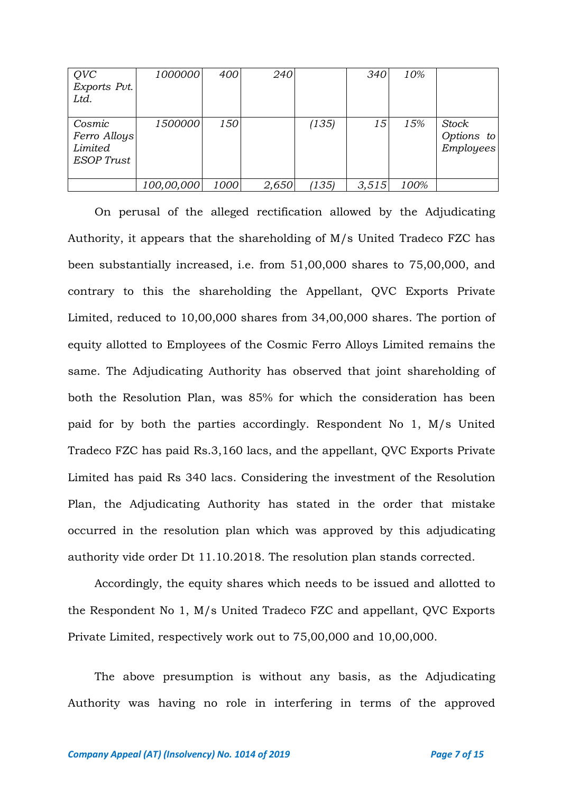| QVC<br>Exports Pvt.<br>Ltd.                            | 1000000    | 400  | 240   |       | 340   | 10%  |                                         |
|--------------------------------------------------------|------------|------|-------|-------|-------|------|-----------------------------------------|
| Cosmic<br>Ferro Alloys<br>Limited<br><b>ESOP</b> Trust | 1500000    | 150  |       | (135) | 15    | 15%  | Stock<br>Options to<br><b>Employees</b> |
|                                                        | 100,00,000 | 1000 | 2,650 | (135) | 3,515 | 100% |                                         |

On perusal of the alleged rectification allowed by the Adjudicating Authority, it appears that the shareholding of M/s United Tradeco FZC has been substantially increased, i.e. from 51,00,000 shares to 75,00,000, and contrary to this the shareholding the Appellant, QVC Exports Private Limited, reduced to 10,00,000 shares from 34,00,000 shares. The portion of equity allotted to Employees of the Cosmic Ferro Alloys Limited remains the same. The Adjudicating Authority has observed that joint shareholding of both the Resolution Plan, was 85% for which the consideration has been paid for by both the parties accordingly. Respondent No 1, M/s United Tradeco FZC has paid Rs.3,160 lacs, and the appellant, QVC Exports Private Limited has paid Rs 340 lacs. Considering the investment of the Resolution Plan, the Adjudicating Authority has stated in the order that mistake occurred in the resolution plan which was approved by this adjudicating authority vide order Dt 11.10.2018. The resolution plan stands corrected.

Accordingly, the equity shares which needs to be issued and allotted to the Respondent No 1, M/s United Tradeco FZC and appellant, QVC Exports Private Limited, respectively work out to 75,00,000 and 10,00,000.

The above presumption is without any basis, as the Adjudicating Authority was having no role in interfering in terms of the approved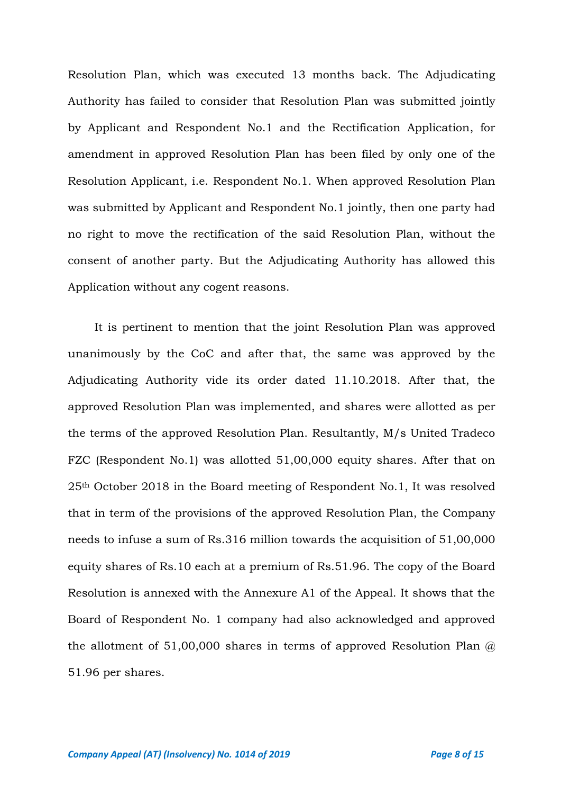Resolution Plan, which was executed 13 months back. The Adjudicating Authority has failed to consider that Resolution Plan was submitted jointly by Applicant and Respondent No.1 and the Rectification Application, for amendment in approved Resolution Plan has been filed by only one of the Resolution Applicant, i.e. Respondent No.1. When approved Resolution Plan was submitted by Applicant and Respondent No.1 jointly, then one party had no right to move the rectification of the said Resolution Plan, without the consent of another party. But the Adjudicating Authority has allowed this Application without any cogent reasons.

It is pertinent to mention that the joint Resolution Plan was approved unanimously by the CoC and after that, the same was approved by the Adjudicating Authority vide its order dated 11.10.2018. After that, the approved Resolution Plan was implemented, and shares were allotted as per the terms of the approved Resolution Plan. Resultantly, M/s United Tradeco FZC (Respondent No.1) was allotted 51,00,000 equity shares. After that on 25th October 2018 in the Board meeting of Respondent No.1, It was resolved that in term of the provisions of the approved Resolution Plan, the Company needs to infuse a sum of Rs.316 million towards the acquisition of 51,00,000 equity shares of Rs.10 each at a premium of Rs.51.96. The copy of the Board Resolution is annexed with the Annexure A1 of the Appeal. It shows that the Board of Respondent No. 1 company had also acknowledged and approved the allotment of 51,00,000 shares in terms of approved Resolution Plan  $\omega$ 51.96 per shares.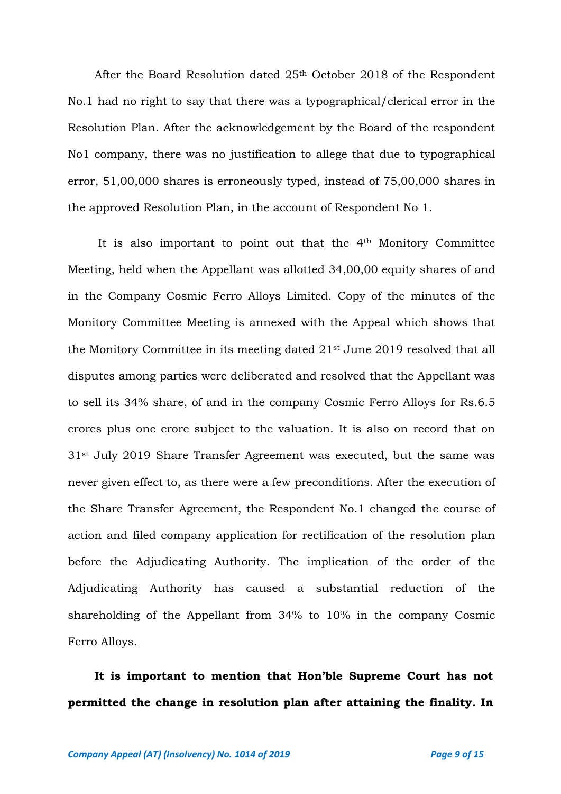After the Board Resolution dated 25th October 2018 of the Respondent No.1 had no right to say that there was a typographical/clerical error in the Resolution Plan. After the acknowledgement by the Board of the respondent No1 company, there was no justification to allege that due to typographical error, 51,00,000 shares is erroneously typed, instead of 75,00,000 shares in the approved Resolution Plan, in the account of Respondent No 1.

It is also important to point out that the 4th Monitory Committee Meeting, held when the Appellant was allotted 34,00,00 equity shares of and in the Company Cosmic Ferro Alloys Limited. Copy of the minutes of the Monitory Committee Meeting is annexed with the Appeal which shows that the Monitory Committee in its meeting dated 21st June 2019 resolved that all disputes among parties were deliberated and resolved that the Appellant was to sell its 34% share, of and in the company Cosmic Ferro Alloys for Rs.6.5 crores plus one crore subject to the valuation. It is also on record that on 31st July 2019 Share Transfer Agreement was executed, but the same was never given effect to, as there were a few preconditions. After the execution of the Share Transfer Agreement, the Respondent No.1 changed the course of action and filed company application for rectification of the resolution plan before the Adjudicating Authority. The implication of the order of the Adjudicating Authority has caused a substantial reduction of the shareholding of the Appellant from 34% to 10% in the company Cosmic Ferro Alloys.

**It is important to mention that Hon'ble Supreme Court has not permitted the change in resolution plan after attaining the finality. In**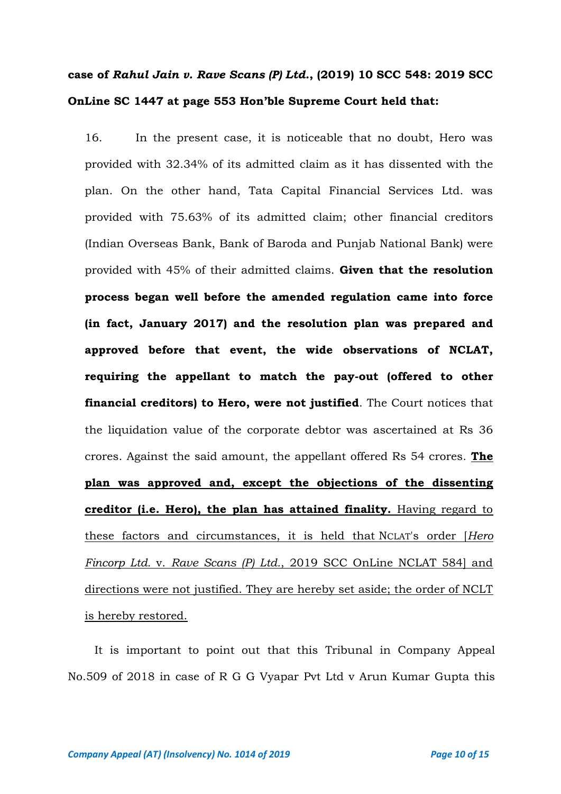## **case of** *Rahul Jain v. Rave Scans (P) Ltd.***, (2019) 10 SCC 548: 2019 SCC OnLine SC 1447 at page 553 Hon'ble Supreme Court held that:**

16. In the present case, it is noticeable that no doubt, Hero was provided with 32.34% of its admitted claim as it has dissented with the plan. On the other hand, Tata Capital Financial Services Ltd. was provided with 75.63% of its admitted claim; other financial creditors (Indian Overseas Bank, Bank of Baroda and Punjab National Bank) were provided with 45% of their admitted claims. **Given that the resolution process began well before the amended regulation came into force (in fact, January 2017) and the resolution plan was prepared and approved before that event, the wide observations of NCLAT, requiring the appellant to match the pay-out (offered to other financial creditors) to Hero, were not justified**. The Court notices that the liquidation value of the corporate debtor was ascertained at Rs 36 crores. Against the said amount, the appellant offered Rs 54 crores. **The plan was approved and, except the objections of the dissenting creditor (i.e. Hero), the plan has attained finality.** Having regard to these factors and circumstances, it is held that NCLAT's order [*Hero Fincorp Ltd.* v. *Rave Scans (P) Ltd.*, 2019 SCC OnLine NCLAT 584] and directions were not justified. They are hereby set aside; the order of NCLT is hereby restored.

It is important to point out that this Tribunal in Company Appeal No.509 of 2018 in case of R G G Vyapar Pvt Ltd v Arun Kumar Gupta this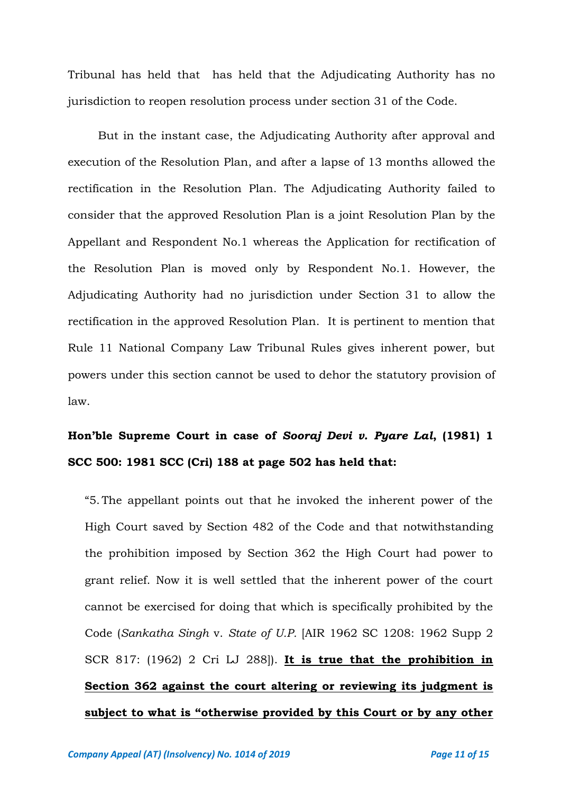Tribunal has held that has held that the Adjudicating Authority has no jurisdiction to reopen resolution process under section 31 of the Code.

But in the instant case, the Adjudicating Authority after approval and execution of the Resolution Plan, and after a lapse of 13 months allowed the rectification in the Resolution Plan. The Adjudicating Authority failed to consider that the approved Resolution Plan is a joint Resolution Plan by the Appellant and Respondent No.1 whereas the Application for rectification of the Resolution Plan is moved only by Respondent No.1. However, the Adjudicating Authority had no jurisdiction under Section 31 to allow the rectification in the approved Resolution Plan. It is pertinent to mention that Rule 11 National Company Law Tribunal Rules gives inherent power, but powers under this section cannot be used to dehor the statutory provision of law.

## **Hon'ble Supreme Court in case of** *Sooraj Devi v. Pyare Lal***, (1981) 1 SCC 500: 1981 SCC (Cri) 188 at page 502 has held that:**

"5. The appellant points out that he invoked the inherent power of the High Court saved by Section 482 of the Code and that notwithstanding the prohibition imposed by Section 362 the High Court had power to grant relief. Now it is well settled that the inherent power of the court cannot be exercised for doing that which is specifically prohibited by the Code (*Sankatha Singh* v. *State of U.P.* [AIR 1962 SC 1208: 1962 Supp 2 SCR 817: (1962) 2 Cri LJ 288]). **It is true that the prohibition in Section 362 against the court altering or reviewing its judgment is subject to what is "otherwise provided by this Court or by any other**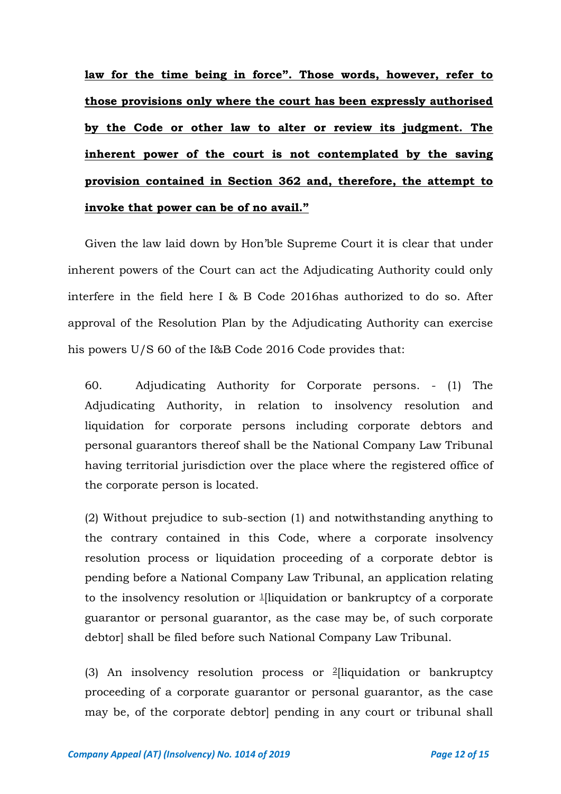**law for the time being in force". Those words, however, refer to those provisions only where the court has been expressly authorised by the Code or other law to alter or review its judgment. The inherent power of the court is not contemplated by the saving provision contained in Section 362 and, therefore, the attempt to invoke that power can be of no avail."** 

Given the law laid down by Hon'ble Supreme Court it is clear that under inherent powers of the Court can act the Adjudicating Authority could only interfere in the field here I & B Code 2016has authorized to do so. After approval of the Resolution Plan by the Adjudicating Authority can exercise his powers U/S 60 of the I&B Code 2016 Code provides that:

60. Adjudicating Authority for Corporate persons. - (1) The Adjudicating Authority, in relation to insolvency resolution and liquidation for corporate persons including corporate debtors and personal guarantors thereof shall be the National Company Law Tribunal having territorial jurisdiction over the place where the registered office of the corporate person is located.

(2) Without prejudice to sub-section (1) and notwithstanding anything to the contrary contained in this Code, where a corporate insolvency resolution process or liquidation proceeding of a corporate debtor is pending before a National Company Law Tribunal, an application relating to the insolvency resolution or  $\frac{1}{1}$  $\frac{1}{1}$  $\frac{1}{1}$ liquidation or bankruptcy of a corporate guarantor or personal guarantor, as the case may be, of such corporate debtor] shall be filed before such National Company Law Tribunal.

(3) An insolvency resolution process or  $2$ [liquidation or bankruptcy proceeding of a corporate guarantor or personal guarantor, as the case may be, of the corporate debtor] pending in any court or tribunal shall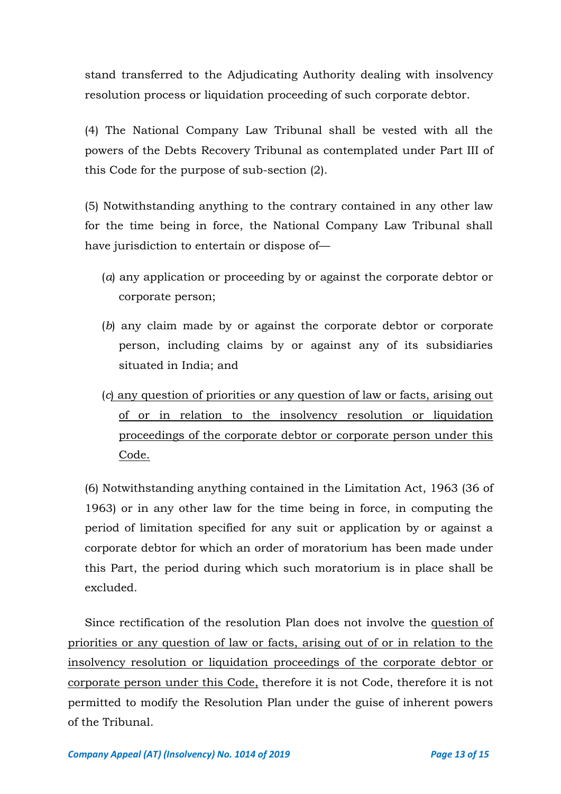stand transferred to the Adjudicating Authority dealing with insolvency resolution process or liquidation proceeding of such corporate debtor.

(4) The National Company Law Tribunal shall be vested with all the powers of the Debts Recovery Tribunal as contemplated under Part III of this Code for the purpose of sub-section (2).

(5) Notwithstanding anything to the contrary contained in any other law for the time being in force, the National Company Law Tribunal shall have jurisdiction to entertain or dispose of—

- (*a*) any application or proceeding by or against the corporate debtor or corporate person;
- (*b*) any claim made by or against the corporate debtor or corporate person, including claims by or against any of its subsidiaries situated in India; and
- (*c*) any question of priorities or any question of law or facts, arising out of or in relation to the insolvency resolution or liquidation proceedings of the corporate debtor or corporate person under this Code.

(6) Notwithstanding anything contained in the Limitation Act, 1963 (36 of 1963) or in any other law for the time being in force, in computing the period of limitation specified for any suit or application by or against a corporate debtor for which an order of moratorium has been made under this Part, the period during which such moratorium is in place shall be excluded.

Since rectification of the resolution Plan does not involve the question of priorities or any question of law or facts, arising out of or in relation to the insolvency resolution or liquidation proceedings of the corporate debtor or corporate person under this Code, therefore it is not Code, therefore it is not permitted to modify the Resolution Plan under the guise of inherent powers of the Tribunal.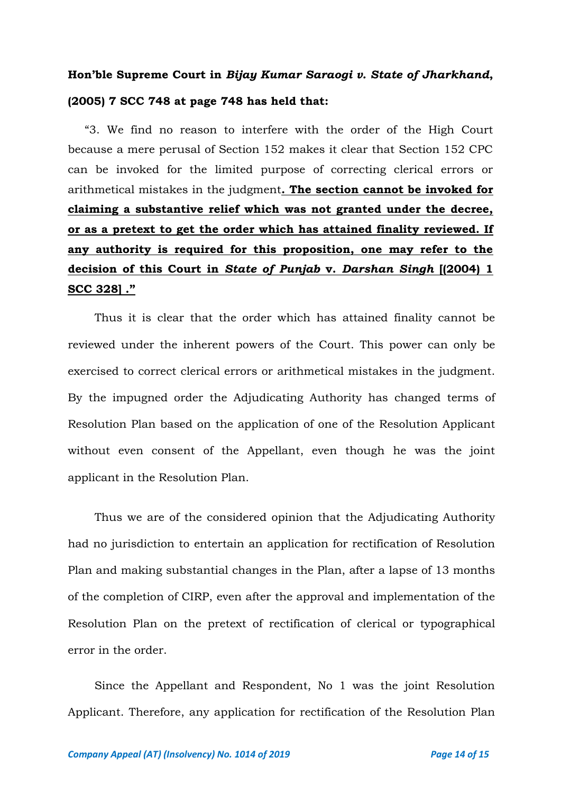# **Hon'ble Supreme Court in** *Bijay Kumar Saraogi v. State of Jharkhand***, (2005) 7 SCC 748 at page 748 has held that:**

"3. We find no reason to interfere with the order of the High Court because a mere perusal of Section 152 makes it clear that Section 152 CPC can be invoked for the limited purpose of correcting clerical errors or arithmetical mistakes in the judgment**. The section cannot be invoked for claiming a substantive relief which was not granted under the decree, or as a pretext to get the order which has attained finality reviewed. If any authority is required for this proposition, one may refer to the decision of this Court in** *State of Punjab* **v.** *Darshan Singh* **[(2004) 1 SCC 328] ."**

Thus it is clear that the order which has attained finality cannot be reviewed under the inherent powers of the Court. This power can only be exercised to correct clerical errors or arithmetical mistakes in the judgment. By the impugned order the Adjudicating Authority has changed terms of Resolution Plan based on the application of one of the Resolution Applicant without even consent of the Appellant, even though he was the joint applicant in the Resolution Plan.

Thus we are of the considered opinion that the Adjudicating Authority had no jurisdiction to entertain an application for rectification of Resolution Plan and making substantial changes in the Plan, after a lapse of 13 months of the completion of CIRP, even after the approval and implementation of the Resolution Plan on the pretext of rectification of clerical or typographical error in the order.

Since the Appellant and Respondent, No 1 was the joint Resolution Applicant. Therefore, any application for rectification of the Resolution Plan